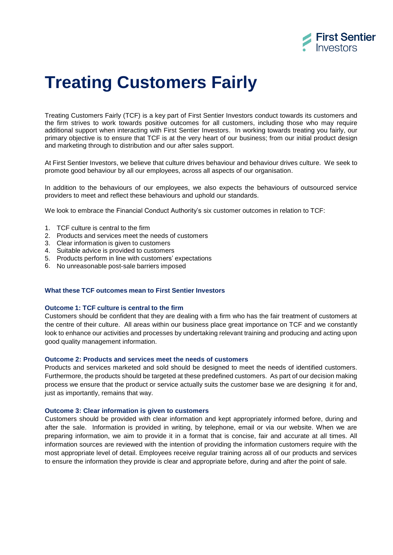

# **Treating Customers Fairly**

Treating Customers Fairly (TCF) is a key part of First Sentier Investors conduct towards its customers and the firm strives to work towards positive outcomes for all customers, including those who may require additional support when interacting with First Sentier Investors. In working towards treating you fairly, our primary objective is to ensure that TCF is at the very heart of our business; from our initial product design and marketing through to distribution and our after sales support.

At First Sentier Investors, we believe that culture drives behaviour and behaviour drives culture. We seek to promote good behaviour by all our employees, across all aspects of our organisation.

In addition to the behaviours of our employees, we also expects the behaviours of outsourced service providers to meet and reflect these behaviours and uphold our standards.

We look to embrace the Financial Conduct Authority's six customer outcomes in relation to TCF:

- 1. TCF culture is central to the firm
- 2. Products and services meet the needs of customers
- 3. Clear information is given to customers
- 4. Suitable advice is provided to customers
- 5. Products perform in line with customers' expectations
- 6. No unreasonable post-sale barriers imposed

## **What these TCF outcomes mean to First Sentier Investors**

#### **Outcome 1: TCF culture is central to the firm**

Customers should be confident that they are dealing with a firm who has the fair treatment of customers at the centre of their culture. All areas within our business place great importance on TCF and we constantly look to enhance our activities and processes by undertaking relevant training and producing and acting upon good quality management information.

# **Outcome 2: Products and services meet the needs of customers**

Products and services marketed and sold should be designed to meet the needs of identified customers. Furthermore, the products should be targeted at these predefined customers. As part of our decision making process we ensure that the product or service actually suits the customer base we are designing it for and, just as importantly, remains that way.

#### **Outcome 3: Clear information is given to customers**

Customers should be provided with clear information and kept appropriately informed before, during and after the sale. Information is provided in writing, by telephone, email or via our website. When we are preparing information, we aim to provide it in a format that is concise, fair and accurate at all times. All information sources are reviewed with the intention of providing the information customers require with the most appropriate level of detail. Employees receive regular training across all of our products and services to ensure the information they provide is clear and appropriate before, during and after the point of sale.